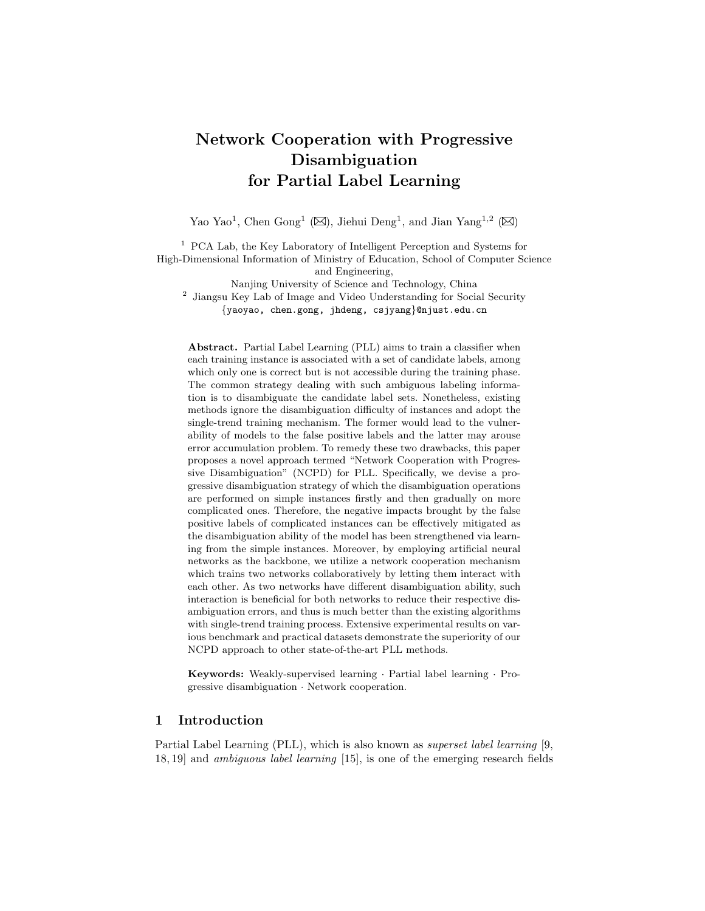# Network Cooperation with Progressive Disambiguation for Partial Label Learning

Yao Yao<sup>1</sup>, Chen Gong<sup>1</sup> ( $\boxtimes$ ), Jiehui Deng<sup>1</sup>, and Jian Yang<sup>1,2</sup> ( $\boxtimes$ )

<sup>1</sup> PCA Lab, the Key Laboratory of Intelligent Perception and Systems for

High-Dimensional Information of Ministry of Education, School of Computer Science and Engineering,

Nanjing University of Science and Technology, China <sup>2</sup> Jiangsu Key Lab of Image and Video Understanding for Social Security {yaoyao, chen.gong, jhdeng, csjyang}@njust.edu.cn

Abstract. Partial Label Learning (PLL) aims to train a classifier when each training instance is associated with a set of candidate labels, among which only one is correct but is not accessible during the training phase. The common strategy dealing with such ambiguous labeling information is to disambiguate the candidate label sets. Nonetheless, existing methods ignore the disambiguation difficulty of instances and adopt the single-trend training mechanism. The former would lead to the vulnerability of models to the false positive labels and the latter may arouse error accumulation problem. To remedy these two drawbacks, this paper proposes a novel approach termed "Network Cooperation with Progressive Disambiguation" (NCPD) for PLL. Specifically, we devise a progressive disambiguation strategy of which the disambiguation operations are performed on simple instances firstly and then gradually on more complicated ones. Therefore, the negative impacts brought by the false positive labels of complicated instances can be effectively mitigated as the disambiguation ability of the model has been strengthened via learning from the simple instances. Moreover, by employing artificial neural networks as the backbone, we utilize a network cooperation mechanism which trains two networks collaboratively by letting them interact with each other. As two networks have different disambiguation ability, such interaction is beneficial for both networks to reduce their respective disambiguation errors, and thus is much better than the existing algorithms with single-trend training process. Extensive experimental results on various benchmark and practical datasets demonstrate the superiority of our NCPD approach to other state-of-the-art PLL methods.

Keywords: Weakly-supervised learning · Partial label learning · Progressive disambiguation · Network cooperation.

# 1 Introduction

Partial Label Learning (PLL), which is also known as *superset label learning* [9, 18, 19] and ambiguous label learning [15], is one of the emerging research fields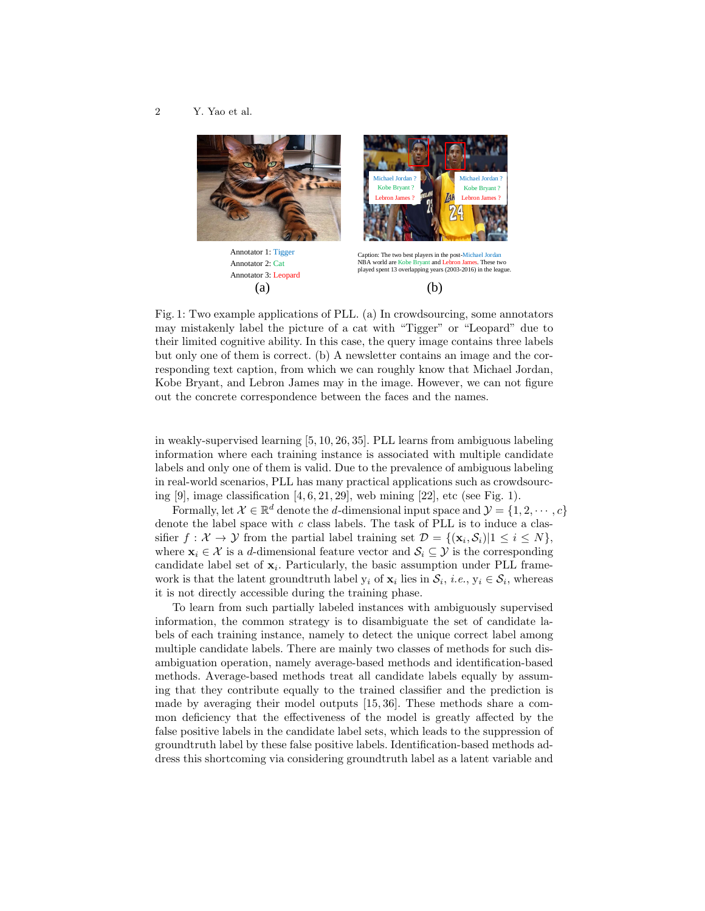

Fig. 1: Two example applications of PLL. (a) In crowdsourcing, some annotators may mistakenly label the picture of a cat with "Tigger" or "Leopard" due to their limited cognitive ability. In this case, the query image contains three labels but only one of them is correct. (b) A newsletter contains an image and the corresponding text caption, from which we can roughly know that Michael Jordan, Kobe Bryant, and Lebron James may in the image. However, we can not figure out the concrete correspondence between the faces and the names.

in weakly-supervised learning [5, 10, 26, 35]. PLL learns from ambiguous labeling information where each training instance is associated with multiple candidate labels and only one of them is valid. Due to the prevalence of ambiguous labeling in real-world scenarios, PLL has many practical applications such as crowdsourcing  $[9]$ , image classification  $[4, 6, 21, 29]$ , web mining  $[22]$ , etc (see Fig. 1).

Formally, let  $\mathcal{X} \in \mathbb{R}^d$  denote the d-dimensional input space and  $\mathcal{Y} = \{1, 2, \cdots, c\}$ denote the label space with  $c$  class labels. The task of PLL is to induce a classifier  $f: \mathcal{X} \to \mathcal{Y}$  from the partial label training set  $\mathcal{D} = \{(\mathbf{x}_i, \mathcal{S}_i) | 1 \leq i \leq N\},\$ where  $\mathbf{x}_i \in \mathcal{X}$  is a d-dimensional feature vector and  $\mathcal{S}_i \subseteq \mathcal{Y}$  is the corresponding candidate label set of  $x_i$ . Particularly, the basic assumption under PLL framework is that the latent groundtruth label  $y_i$  of  $\mathbf{x}_i$  lies in  $\mathcal{S}_i$ , *i.e.*,  $y_i \in \mathcal{S}_i$ , whereas it is not directly accessible during the training phase.

To learn from such partially labeled instances with ambiguously supervised information, the common strategy is to disambiguate the set of candidate labels of each training instance, namely to detect the unique correct label among multiple candidate labels. There are mainly two classes of methods for such disambiguation operation, namely average-based methods and identification-based methods. Average-based methods treat all candidate labels equally by assuming that they contribute equally to the trained classifier and the prediction is made by averaging their model outputs [15, 36]. These methods share a common deficiency that the effectiveness of the model is greatly affected by the false positive labels in the candidate label sets, which leads to the suppression of groundtruth label by these false positive labels. Identification-based methods address this shortcoming via considering groundtruth label as a latent variable and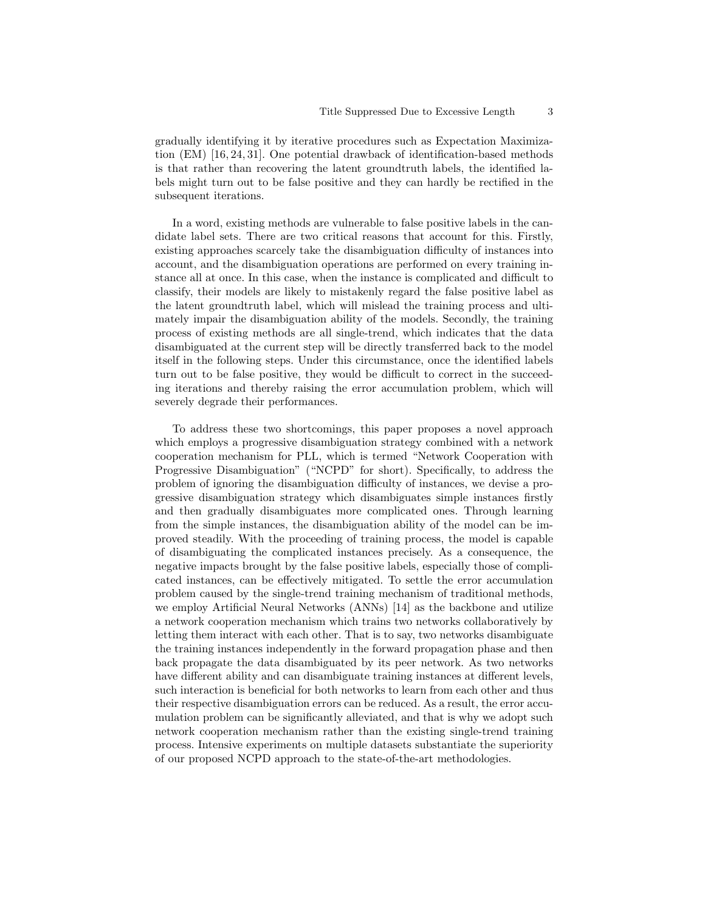gradually identifying it by iterative procedures such as Expectation Maximization (EM) [16, 24, 31]. One potential drawback of identification-based methods is that rather than recovering the latent groundtruth labels, the identified labels might turn out to be false positive and they can hardly be rectified in the subsequent iterations.

In a word, existing methods are vulnerable to false positive labels in the candidate label sets. There are two critical reasons that account for this. Firstly, existing approaches scarcely take the disambiguation difficulty of instances into account, and the disambiguation operations are performed on every training instance all at once. In this case, when the instance is complicated and difficult to classify, their models are likely to mistakenly regard the false positive label as the latent groundtruth label, which will mislead the training process and ultimately impair the disambiguation ability of the models. Secondly, the training process of existing methods are all single-trend, which indicates that the data disambiguated at the current step will be directly transferred back to the model itself in the following steps. Under this circumstance, once the identified labels turn out to be false positive, they would be difficult to correct in the succeeding iterations and thereby raising the error accumulation problem, which will severely degrade their performances.

To address these two shortcomings, this paper proposes a novel approach which employs a progressive disambiguation strategy combined with a network cooperation mechanism for PLL, which is termed "Network Cooperation with Progressive Disambiguation" ("NCPD" for short). Specifically, to address the problem of ignoring the disambiguation difficulty of instances, we devise a progressive disambiguation strategy which disambiguates simple instances firstly and then gradually disambiguates more complicated ones. Through learning from the simple instances, the disambiguation ability of the model can be improved steadily. With the proceeding of training process, the model is capable of disambiguating the complicated instances precisely. As a consequence, the negative impacts brought by the false positive labels, especially those of complicated instances, can be effectively mitigated. To settle the error accumulation problem caused by the single-trend training mechanism of traditional methods, we employ Artificial Neural Networks (ANNs) [14] as the backbone and utilize a network cooperation mechanism which trains two networks collaboratively by letting them interact with each other. That is to say, two networks disambiguate the training instances independently in the forward propagation phase and then back propagate the data disambiguated by its peer network. As two networks have different ability and can disambiguate training instances at different levels, such interaction is beneficial for both networks to learn from each other and thus their respective disambiguation errors can be reduced. As a result, the error accumulation problem can be significantly alleviated, and that is why we adopt such network cooperation mechanism rather than the existing single-trend training process. Intensive experiments on multiple datasets substantiate the superiority of our proposed NCPD approach to the state-of-the-art methodologies.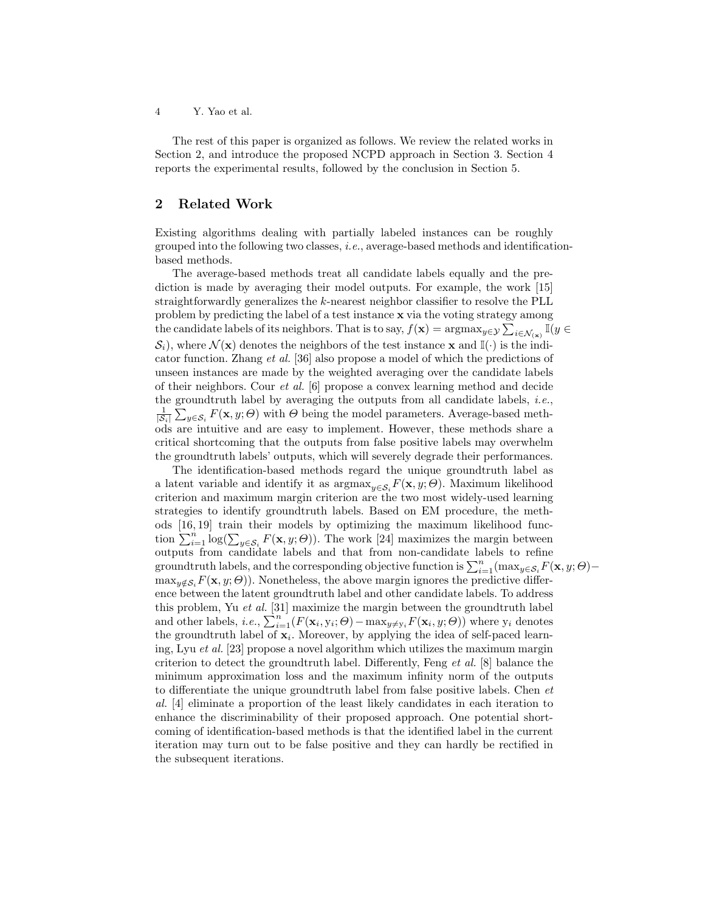The rest of this paper is organized as follows. We review the related works in Section 2, and introduce the proposed NCPD approach in Section 3. Section 4 reports the experimental results, followed by the conclusion in Section 5.

## 2 Related Work

Existing algorithms dealing with partially labeled instances can be roughly grouped into the following two classes, i.e., average-based methods and identificationbased methods.

The average-based methods treat all candidate labels equally and the prediction is made by averaging their model outputs. For example, the work [15] straightforwardly generalizes the k-nearest neighbor classifier to resolve the PLL problem by predicting the label of a test instance x via the voting strategy among the candidate labels of its neighbors. That is to say,  $f(\mathbf{x}) = \operatorname{argmax}_{y \in \mathcal{Y}} \sum_{i \in \mathcal{N}_{(\mathbf{x})}} \mathbb{I}(y \in$  $\mathcal{S}_i$ , where  $\mathcal{N}(\mathbf{x})$  denotes the neighbors of the test instance **x** and  $\mathbb{I}(\cdot)$  is the indicator function. Zhang et al. [36] also propose a model of which the predictions of unseen instances are made by the weighted averaging over the candidate labels of their neighbors. Cour et al. [6] propose a convex learning method and decide the groundtruth label by averaging the outputs from all candidate labels, *i.e.*,  $\frac{1}{|S_i|} \sum_{y \in S_i} F(\mathbf{x}, y; \Theta)$  with  $\Theta$  being the model parameters. Average-based methods are intuitive and are easy to implement. However, these methods share a critical shortcoming that the outputs from false positive labels may overwhelm the groundtruth labels' outputs, which will severely degrade their performances.

The identification-based methods regard the unique groundtruth label as a latent variable and identify it as  $\argmax_{y \in S_i} F(\mathbf{x}, y; \Theta)$ . Maximum likelihood criterion and maximum margin criterion are the two most widely-used learning strategies to identify groundtruth labels. Based on EM procedure, the methods [16, 19] train their models by optimizing the maximum likelihood function  $\sum_{i=1}^{n} \log(\sum_{y \in \mathcal{S}_i} F(\mathbf{x}, y; \theta))$ . The work [24] maximizes the margin between outputs from candidate labels and that from non-candidate labels to refine groundtruth labels, and the corresponding objective function is  $\sum_{i=1}^{n}(\max_{y\in S_i}F(\mathbf{x}, y; \Theta) \max_{y \notin \mathcal{S}_i} F(\mathbf{x}, y; \Theta)$ . Nonetheless, the above margin ignores the predictive difference between the latent groundtruth label and other candidate labels. To address this problem, Yu *et al.* [31] maximize the margin between the groundtruth label and other labels, *i.e.*,  $\sum_{i=1}^{n} (F(\mathbf{x}_i, y_i; \Theta) - \max_{y \neq y_i} F(\mathbf{x}_i, y; \Theta))$  where  $y_i$  denotes the groundtruth label of  $x_i$ . Moreover, by applying the idea of self-paced learning, Lyu et al. [23] propose a novel algorithm which utilizes the maximum margin criterion to detect the groundtruth label. Differently, Feng  $et \ al.$  [8] balance the minimum approximation loss and the maximum infinity norm of the outputs to differentiate the unique groundtruth label from false positive labels. Chen  $et$ al. [4] eliminate a proportion of the least likely candidates in each iteration to enhance the discriminability of their proposed approach. One potential shortcoming of identification-based methods is that the identified label in the current iteration may turn out to be false positive and they can hardly be rectified in the subsequent iterations.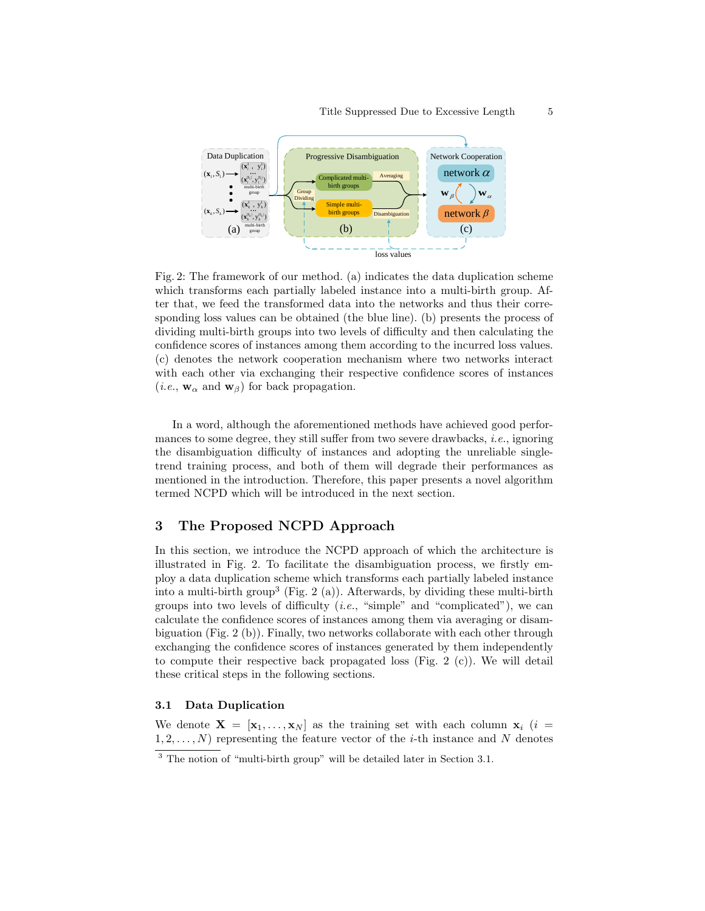

Fig. 2: The framework of our method. (a) indicates the data duplication scheme which transforms each partially labeled instance into a multi-birth group. After that, we feed the transformed data into the networks and thus their corresponding loss values can be obtained (the blue line). (b) presents the process of dividing multi-birth groups into two levels of difficulty and then calculating the confidence scores of instances among them according to the incurred loss values. (c) denotes the network cooperation mechanism where two networks interact with each other via exchanging their respective confidence scores of instances (*i.e.*,  $w_\alpha$  and  $w_\beta$ ) for back propagation.

In a word, although the aforementioned methods have achieved good performances to some degree, they still suffer from two severe drawbacks, *i.e.*, ignoring the disambiguation difficulty of instances and adopting the unreliable singletrend training process, and both of them will degrade their performances as mentioned in the introduction. Therefore, this paper presents a novel algorithm termed NCPD which will be introduced in the next section.

# 3 The Proposed NCPD Approach

In this section, we introduce the NCPD approach of which the architecture is illustrated in Fig. 2. To facilitate the disambiguation process, we firstly employ a data duplication scheme which transforms each partially labeled instance into a multi-birth group<sup>3</sup> (Fig. 2 (a)). Afterwards, by dividing these multi-birth groups into two levels of difficulty  $(i.e., "simple"$  and "complicated"), we can calculate the confidence scores of instances among them via averaging or disambiguation (Fig. 2 (b)). Finally, two networks collaborate with each other through exchanging the confidence scores of instances generated by them independently to compute their respective back propagated loss (Fig. 2  $(c)$ ). We will detail these critical steps in the following sections.

### 3.1 Data Duplication

We denote  $X = [\mathbf{x}_1, \dots, \mathbf{x}_N]$  as the training set with each column  $\mathbf{x}_i$  (i =  $1, 2, \ldots, N$  representing the feature vector of the *i*-th instance and N denotes

<sup>&</sup>lt;sup>3</sup> The notion of "multi-birth group" will be detailed later in Section 3.1.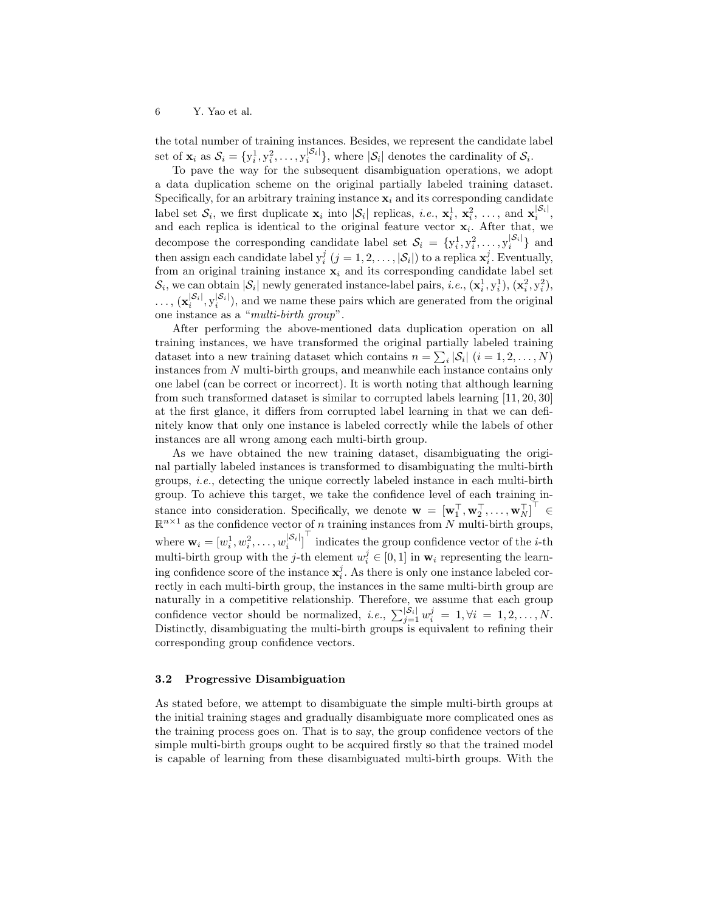the total number of training instances. Besides, we represent the candidate label set of  $\mathbf{x}_i$  as  $\mathcal{S}_i = \{y_i^1, y_i^2, \dots, y_i^{|\mathcal{S}_i|}\}$ , where  $|\mathcal{S}_i|$  denotes the cardinality of  $\mathcal{S}_i$ .

To pave the way for the subsequent disambiguation operations, we adopt a data duplication scheme on the original partially labeled training dataset. Specifically, for an arbitrary training instance  $x_i$  and its corresponding candidate label set  $S_i$ , we first duplicate  $\mathbf{x}_i$  into  $|S_i|$  replicas, *i.e.*,  $\mathbf{x}_i^1$ ,  $\mathbf{x}_i^2$ , ..., and  $\mathbf{x}_i^{|S_i|}$ , and each replica is identical to the original feature vector  $x_i$ . After that, we decompose the corresponding candidate label set  $\mathcal{S}_i = \{y_i^1, y_i^2, \dots, y_i^{|S_i|}\}\$ and then assign each candidate label  $y_i^j$   $(j = 1, 2, ..., |S_i|)$  to a replica  $\mathbf{x}_i^j$ . Eventually, from an original training instance  $x_i$  and its corresponding candidate label set  $S_i$ , we can obtain  $|S_i|$  newly generated instance-label pairs, *i.e.*,  $(\mathbf{x}_i^1, y_i^1), (\mathbf{x}_i^2, y_i^2)$ ,  $\ldots$ ,  $(\mathbf{x}_i^{|\mathcal{S}_i|}, y_i^{|\mathcal{S}_i|})$ , and we name these pairs which are generated from the original one instance as a "multi-birth group".

After performing the above-mentioned data duplication operation on all training instances, we have transformed the original partially labeled training dataset into a new training dataset which contains  $n = \sum_i |\mathcal{S}_i|$   $(i = 1, 2, ..., N)$ instances from N multi-birth groups, and meanwhile each instance contains only one label (can be correct or incorrect). It is worth noting that although learning from such transformed dataset is similar to corrupted labels learning [11, 20, 30] at the first glance, it differs from corrupted label learning in that we can definitely know that only one instance is labeled correctly while the labels of other instances are all wrong among each multi-birth group.

As we have obtained the new training dataset, disambiguating the original partially labeled instances is transformed to disambiguating the multi-birth groups, i.e., detecting the unique correctly labeled instance in each multi-birth group. To achieve this target, we take the confidence level of each training instance into consideration. Specifically, we denote  $\mathbf{w} = [\mathbf{w}_1^\top, \mathbf{w}_2^\top, \dots, \mathbf{w}_N^\top]^\top \in$  $\mathbb{R}^{n\times 1}$  as the confidence vector of n training instances from N multi-birth groups, where  $\mathbf{w}_i = [w_i^1, w_i^2, \dots, w_i^{|\mathcal{S}_i|}]^\top$  indicates the group confidence vector of the *i*-th multi-birth group with the *j*-th element  $w_i^j \in [0,1]$  in  $\mathbf{w}_i$  representing the learning confidence score of the instance  $\mathbf{x}_i^j$ . As there is only one instance labeled correctly in each multi-birth group, the instances in the same multi-birth group are naturally in a competitive relationship. Therefore, we assume that each group confidence vector should be normalized, *i.e.*,  $\sum_{j=1}^{|S_i|} w_i^j = 1, \forall i = 1, 2, ..., N$ . Distinctly, disambiguating the multi-birth groups is equivalent to refining their corresponding group confidence vectors.

### 3.2 Progressive Disambiguation

As stated before, we attempt to disambiguate the simple multi-birth groups at the initial training stages and gradually disambiguate more complicated ones as the training process goes on. That is to say, the group confidence vectors of the simple multi-birth groups ought to be acquired firstly so that the trained model is capable of learning from these disambiguated multi-birth groups. With the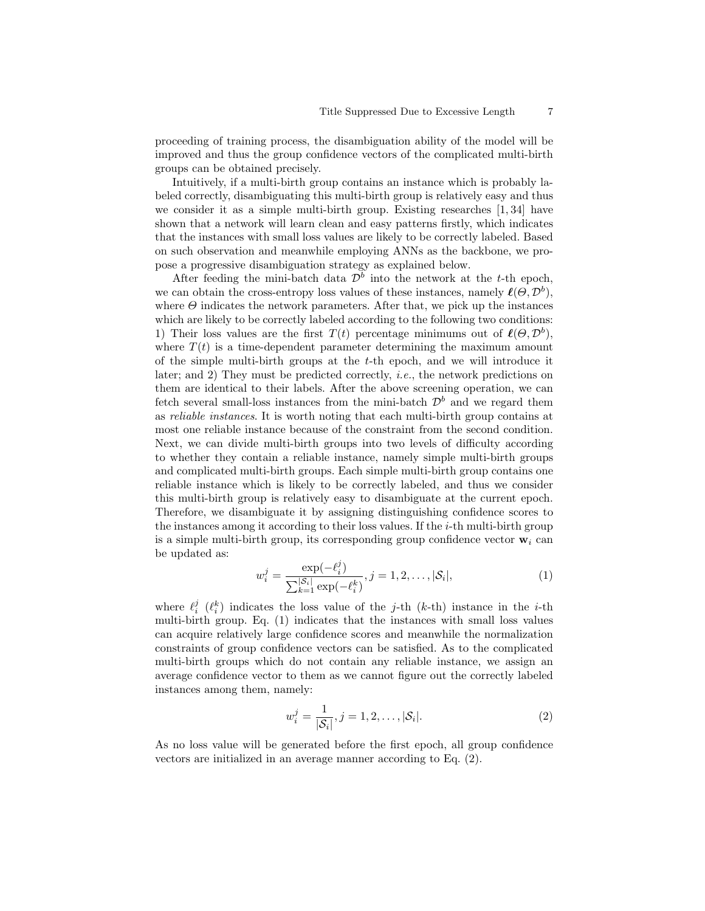proceeding of training process, the disambiguation ability of the model will be improved and thus the group confidence vectors of the complicated multi-birth groups can be obtained precisely.

Intuitively, if a multi-birth group contains an instance which is probably labeled correctly, disambiguating this multi-birth group is relatively easy and thus we consider it as a simple multi-birth group. Existing researches [1, 34] have shown that a network will learn clean and easy patterns firstly, which indicates that the instances with small loss values are likely to be correctly labeled. Based on such observation and meanwhile employing ANNs as the backbone, we propose a progressive disambiguation strategy as explained below.

After feeding the mini-batch data  $\mathcal{D}^b$  into the network at the t-th epoch, we can obtain the cross-entropy loss values of these instances, namely  $\ell(\Theta, \mathcal{D}^b)$ , where  $\Theta$  indicates the network parameters. After that, we pick up the instances which are likely to be correctly labeled according to the following two conditions: 1) Their loss values are the first  $T(t)$  percentage minimums out of  $\ell(\Theta, \mathcal{D}^b)$ , where  $T(t)$  is a time-dependent parameter determining the maximum amount of the simple multi-birth groups at the t-th epoch, and we will introduce it later; and 2) They must be predicted correctly, *i.e.*, the network predictions on them are identical to their labels. After the above screening operation, we can fetch several small-loss instances from the mini-batch  $\mathcal{D}^b$  and we regard them as reliable instances. It is worth noting that each multi-birth group contains at most one reliable instance because of the constraint from the second condition. Next, we can divide multi-birth groups into two levels of difficulty according to whether they contain a reliable instance, namely simple multi-birth groups and complicated multi-birth groups. Each simple multi-birth group contains one reliable instance which is likely to be correctly labeled, and thus we consider this multi-birth group is relatively easy to disambiguate at the current epoch. Therefore, we disambiguate it by assigning distinguishing confidence scores to the instances among it according to their loss values. If the i-th multi-birth group is a simple multi-birth group, its corresponding group confidence vector  $\mathbf{w}_i$  can be updated as:

$$
w_i^j = \frac{\exp(-\ell_i^j)}{\sum_{k=1}^{|\mathcal{S}_i|} \exp(-\ell_i^k)}, j = 1, 2, \dots, |\mathcal{S}_i|,
$$
 (1)

where  $\ell_i^j$  ( $\ell_i^k$ ) indicates the loss value of the j-th (k-th) instance in the i-th multi-birth group. Eq. (1) indicates that the instances with small loss values can acquire relatively large confidence scores and meanwhile the normalization constraints of group confidence vectors can be satisfied. As to the complicated multi-birth groups which do not contain any reliable instance, we assign an average confidence vector to them as we cannot figure out the correctly labeled instances among them, namely:

$$
w_i^j = \frac{1}{|\mathcal{S}_i|}, j = 1, 2, \dots, |\mathcal{S}_i|.
$$
 (2)

As no loss value will be generated before the first epoch, all group confidence vectors are initialized in an average manner according to Eq. (2).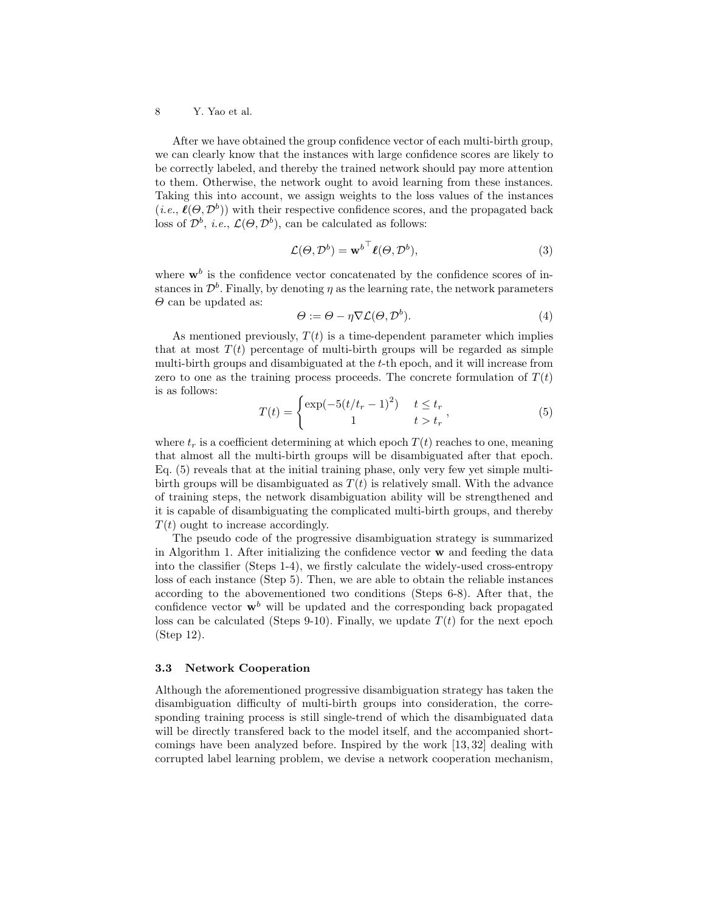After we have obtained the group confidence vector of each multi-birth group, we can clearly know that the instances with large confidence scores are likely to be correctly labeled, and thereby the trained network should pay more attention to them. Otherwise, the network ought to avoid learning from these instances. Taking this into account, we assign weights to the loss values of the instances  $(i.e., \ell(\Theta, \mathcal{D}^b))$  with their respective confidence scores, and the propagated back loss of  $\mathcal{D}^b$ , *i.e.*,  $\mathcal{L}(\Theta, \mathcal{D}^b)$ , can be calculated as follows:

$$
\mathcal{L}(\Theta, \mathcal{D}^b) = \mathbf{w}^{b^\top} \boldsymbol{\ell}(\Theta, \mathcal{D}^b),\tag{3}
$$

where  $\mathbf{w}^b$  is the confidence vector concatenated by the confidence scores of instances in  $\mathcal{D}^b$ . Finally, by denoting  $\eta$  as the learning rate, the network parameters  $\Theta$  can be updated as:

$$
\Theta := \Theta - \eta \nabla \mathcal{L}(\Theta, \mathcal{D}^b). \tag{4}
$$

As mentioned previously,  $T(t)$  is a time-dependent parameter which implies that at most  $T(t)$  percentage of multi-birth groups will be regarded as simple multi-birth groups and disambiguated at the  $t$ -th epoch, and it will increase from zero to one as the training process proceeds. The concrete formulation of  $T(t)$ is as follows:

$$
T(t) = \begin{cases} \exp(-5(t/t_r - 1)^2) & t \le t_r \\ 1 & t > t_r \end{cases},\tag{5}
$$

where  $t_r$  is a coefficient determining at which epoch  $T(t)$  reaches to one, meaning that almost all the multi-birth groups will be disambiguated after that epoch. Eq. (5) reveals that at the initial training phase, only very few yet simple multibirth groups will be disambiguated as  $T(t)$  is relatively small. With the advance of training steps, the network disambiguation ability will be strengthened and it is capable of disambiguating the complicated multi-birth groups, and thereby  $T(t)$  ought to increase accordingly.

The pseudo code of the progressive disambiguation strategy is summarized in Algorithm 1. After initializing the confidence vector w and feeding the data into the classifier (Steps 1-4), we firstly calculate the widely-used cross-entropy loss of each instance (Step 5). Then, we are able to obtain the reliable instances according to the abovementioned two conditions (Steps 6-8). After that, the confidence vector  $\mathbf{w}^b$  will be updated and the corresponding back propagated loss can be calculated (Steps 9-10). Finally, we update  $T(t)$  for the next epoch (Step 12).

### 3.3 Network Cooperation

Although the aforementioned progressive disambiguation strategy has taken the disambiguation difficulty of multi-birth groups into consideration, the corresponding training process is still single-trend of which the disambiguated data will be directly transfered back to the model itself, and the accompanied shortcomings have been analyzed before. Inspired by the work [13, 32] dealing with corrupted label learning problem, we devise a network cooperation mechanism,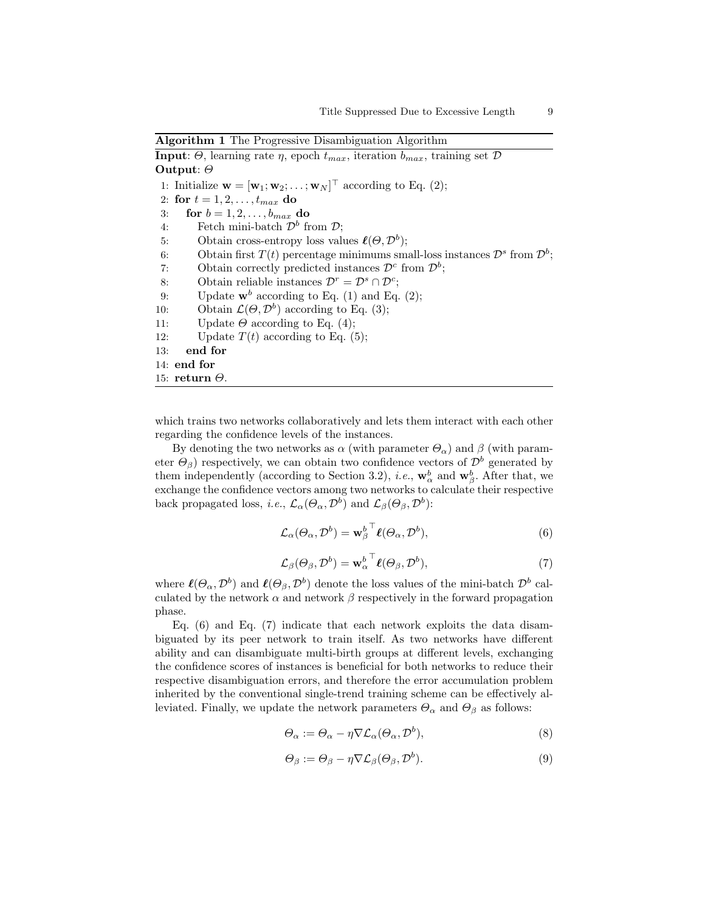| <b>Algorithm 1</b> The Progressive Disambiguation Algorithm                                                        |
|--------------------------------------------------------------------------------------------------------------------|
| <b>Input:</b> $\Theta$ , learning rate $\eta$ , epoch $t_{max}$ , iteration $b_{max}$ , training set $\mathcal{D}$ |
| Output: $\Theta$                                                                                                   |
| 1: Initialize $\mathbf{w} = [\mathbf{w}_1; \mathbf{w}_2; \dots; \mathbf{w}_N]^{\top}$ according to Eq. (2);        |
| 2: for $t = 1, 2, , t_{max}$ do                                                                                    |
| for $b = 1, 2, \ldots, b_{max}$ do<br>3:                                                                           |
| Fetch mini-batch $\mathcal{D}^b$ from $\mathcal{D}$ ;<br>4:                                                        |
| Obtain cross-entropy loss values $\ell(\Theta, \mathcal{D}^b)$ ;<br>5:                                             |
| Obtain first $T(t)$ percentage minimums small-loss instances $\mathcal{D}^s$ from $\mathcal{D}^b$ ;<br>6:          |
| Obtain correctly predicted instances $\mathcal{D}^c$ from $\mathcal{D}^b$ ;<br>7:                                  |
| Obtain reliable instances $\mathcal{D}^r = \mathcal{D}^s \cap \mathcal{D}^c$ ;<br>8:                               |
| Update $\mathbf{w}^b$ according to Eq. (1) and Eq. (2);<br>9:                                                      |
| Obtain $\mathcal{L}(\Theta, \mathcal{D}^b)$ according to Eq. (3);<br>10:                                           |
| Update $\Theta$ according to Eq. (4);<br>11:                                                                       |
| Update $T(t)$ according to Eq. (5);<br>12:                                                                         |
| end for<br>13:                                                                                                     |
| $14:$ end for                                                                                                      |
| 15: return $\Theta$ .                                                                                              |

which trains two networks collaboratively and lets them interact with each other regarding the confidence levels of the instances.

By denoting the two networks as  $\alpha$  (with parameter  $\Theta_{\alpha}$ ) and  $\beta$  (with parameter  $\Theta_{\beta}$ ) respectively, we can obtain two confidence vectors of  $\mathcal{D}^{b}$  generated by them independently (according to Section 3.2), *i.e.*,  $\mathbf{w}_{\alpha}^{b}$  and  $\mathbf{w}_{\beta}^{b}$ . After that, we exchange the confidence vectors among two networks to calculate their respective back propagated loss, *i.e.*,  $\mathcal{L}_{\alpha}(\Theta_{\alpha}, \mathcal{D}^{b})$  and  $\mathcal{L}_{\beta}(\Theta_{\beta}, \mathcal{D}^{b})$ :

$$
\mathcal{L}_{\alpha}(\Theta_{\alpha}, \mathcal{D}^{b}) = \mathbf{w}_{\beta}^{b}{}^{\top} \boldsymbol{\ell}(\Theta_{\alpha}, \mathcal{D}^{b}), \qquad (6)
$$

$$
\mathcal{L}_{\beta}(\Theta_{\beta}, \mathcal{D}^{b}) = \mathbf{w}_{\alpha}^{b}{}^{\top} \boldsymbol{\ell}(\Theta_{\beta}, \mathcal{D}^{b}), \qquad (7)
$$

where  $\ell(\Theta_\alpha, \mathcal{D}^b)$  and  $\ell(\Theta_\beta, \mathcal{D}^b)$  denote the loss values of the mini-batch  $\mathcal{D}^b$  calculated by the network  $\alpha$  and network  $\beta$  respectively in the forward propagation phase.

Eq. (6) and Eq. (7) indicate that each network exploits the data disambiguated by its peer network to train itself. As two networks have different ability and can disambiguate multi-birth groups at different levels, exchanging the confidence scores of instances is beneficial for both networks to reduce their respective disambiguation errors, and therefore the error accumulation problem inherited by the conventional single-trend training scheme can be effectively alleviated. Finally, we update the network parameters  $\Theta_{\alpha}$  and  $\Theta_{\beta}$  as follows:

$$
\Theta_{\alpha} := \Theta_{\alpha} - \eta \nabla \mathcal{L}_{\alpha}(\Theta_{\alpha}, \mathcal{D}^{b}), \qquad (8)
$$

$$
\Theta_{\beta} := \Theta_{\beta} - \eta \nabla \mathcal{L}_{\beta}(\Theta_{\beta}, \mathcal{D}^{b}). \tag{9}
$$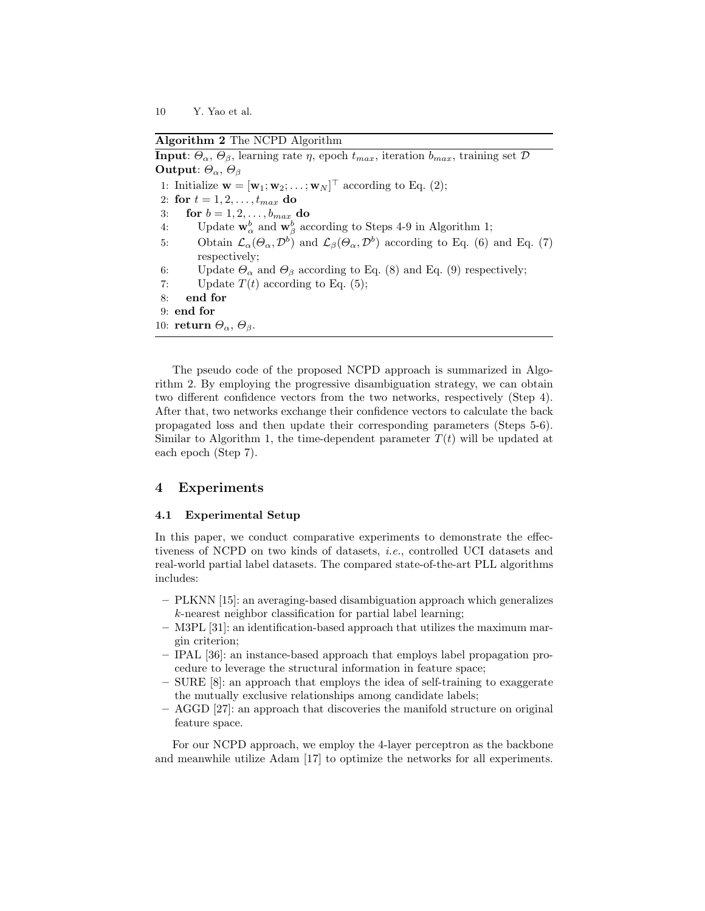Algorithm 2 The NCPD Algorithm

**Input:**  $\Theta_{\alpha}, \Theta_{\beta}$ , learning rate  $\eta$ , epoch  $t_{max}$ , iteration  $b_{max}$ , training set  $\mathcal{D}$ Output:  $\Theta_{\alpha}$ ,  $\Theta_{\beta}$ 1: Initialize  $\mathbf{w} = [\mathbf{w}_1; \mathbf{w}_2; \dots; \mathbf{w}_N]^{\top}$  according to Eq. (2); 2: for  $t = 1, 2, ..., t_{max}$  do 3: for  $b = 1, 2, \ldots, b_{max}$  do 4: Update  $\mathbf{w}_{\alpha}^{b}$  and  $\mathbf{w}_{\beta}^{b}$  according to Steps 4-9 in Algorithm 1; 5: Obtain  $\mathcal{L}_{\alpha}(\Theta_{\alpha}, \mathcal{D}^{b})$  and  $\mathcal{L}_{\beta}(\Theta_{\alpha}, \mathcal{D}^{b})$  according to Eq. (6) and Eq. (7) respectively; 6: Update  $\Theta_{\alpha}$  and  $\Theta_{\beta}$  according to Eq. (8) and Eq. (9) respectively; 7: Update  $T(t)$  according to Eq. (5); 8: end for 9: end for 10: return  $\Theta_{\alpha}$ ,  $\Theta_{\beta}$ .

The pseudo code of the proposed NCPD approach is summarized in Algorithm 2. By employing the progressive disambiguation strategy, we can obtain two different confidence vectors from the two networks, respectively (Step 4). After that, two networks exchange their confidence vectors to calculate the back propagated loss and then update their corresponding parameters (Steps 5-6). Similar to Algorithm 1, the time-dependent parameter  $T(t)$  will be updated at each epoch (Step 7).

# 4 Experiments

### 4.1 Experimental Setup

In this paper, we conduct comparative experiments to demonstrate the effectiveness of NCPD on two kinds of datasets, i.e., controlled UCI datasets and real-world partial label datasets. The compared state-of-the-art PLL algorithms includes:

- PLKNN [15]: an averaging-based disambiguation approach which generalizes k-nearest neighbor classification for partial label learning;
- M3PL [31]: an identification-based approach that utilizes the maximum margin criterion;
- IPAL [36]: an instance-based approach that employs label propagation procedure to leverage the structural information in feature space;
- SURE [8]: an approach that employs the idea of self-training to exaggerate the mutually exclusive relationships among candidate labels;
- AGGD [27]: an approach that discoveries the manifold structure on original feature space.

For our NCPD approach, we employ the 4-layer perceptron as the backbone and meanwhile utilize Adam [17] to optimize the networks for all experiments.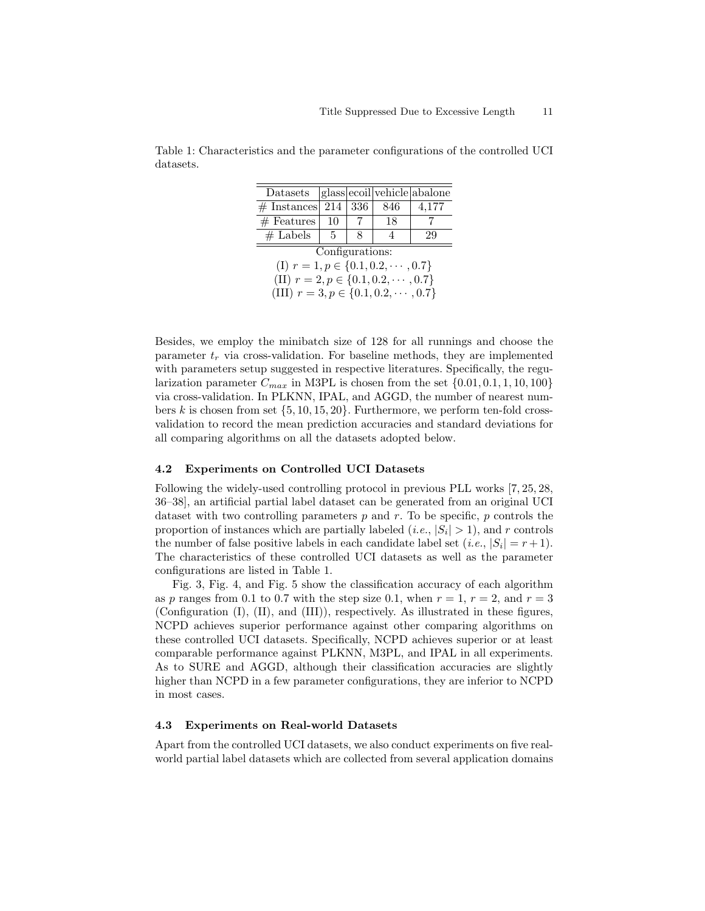| Datasets                                       |     |     |     | glass ecoil vehicle abalone |  |  |
|------------------------------------------------|-----|-----|-----|-----------------------------|--|--|
| $#$ Instances                                  | 214 | 336 | 846 | 4,177                       |  |  |
| $#$ Features                                   | 10  |     | 18  |                             |  |  |
| $#$ Labels                                     | 5   | 8   |     | 29                          |  |  |
| Configurations:                                |     |     |     |                             |  |  |
| (I) $r = 1, p \in \{0.1, 0.2, \cdots, 0.7\}$   |     |     |     |                             |  |  |
| (II) $r = 2, p \in \{0.1, 0.2, \cdots, 0.7\}$  |     |     |     |                             |  |  |
| (III) $r = 3, p \in \{0.1, 0.2, \cdots, 0.7\}$ |     |     |     |                             |  |  |

Table 1: Characteristics and the parameter configurations of the controlled UCI datasets.

Besides, we employ the minibatch size of 128 for all runnings and choose the parameter  $t_r$  via cross-validation. For baseline methods, they are implemented with parameters setup suggested in respective literatures. Specifically, the regularization parameter  $C_{max}$  in M3PL is chosen from the set  $\{0.01, 0.1, 1, 10, 100\}$ via cross-validation. In PLKNN, IPAL, and AGGD, the number of nearest numbers k is chosen from set  $\{5, 10, 15, 20\}$ . Furthermore, we perform ten-fold crossvalidation to record the mean prediction accuracies and standard deviations for all comparing algorithms on all the datasets adopted below.

#### 4.2 Experiments on Controlled UCI Datasets

Following the widely-used controlling protocol in previous PLL works [7, 25, 28, 36–38], an artificial partial label dataset can be generated from an original UCI dataset with two controlling parameters  $p$  and  $r$ . To be specific,  $p$  controls the proportion of instances which are partially labeled  $(i.e., |S_i| > 1)$ , and r controls the number of false positive labels in each candidate label set  $(i.e., |S_i| = r + 1)$ . The characteristics of these controlled UCI datasets as well as the parameter configurations are listed in Table 1.

Fig. 3, Fig. 4, and Fig. 5 show the classification accuracy of each algorithm as p ranges from 0.1 to 0.7 with the step size 0.1, when  $r = 1$ ,  $r = 2$ , and  $r = 3$ (Configuration (I), (II), and (III)), respectively. As illustrated in these figures, NCPD achieves superior performance against other comparing algorithms on these controlled UCI datasets. Specifically, NCPD achieves superior or at least comparable performance against PLKNN, M3PL, and IPAL in all experiments. As to SURE and AGGD, although their classification accuracies are slightly higher than NCPD in a few parameter configurations, they are inferior to NCPD in most cases.

#### 4.3 Experiments on Real-world Datasets

Apart from the controlled UCI datasets, we also conduct experiments on five realworld partial label datasets which are collected from several application domains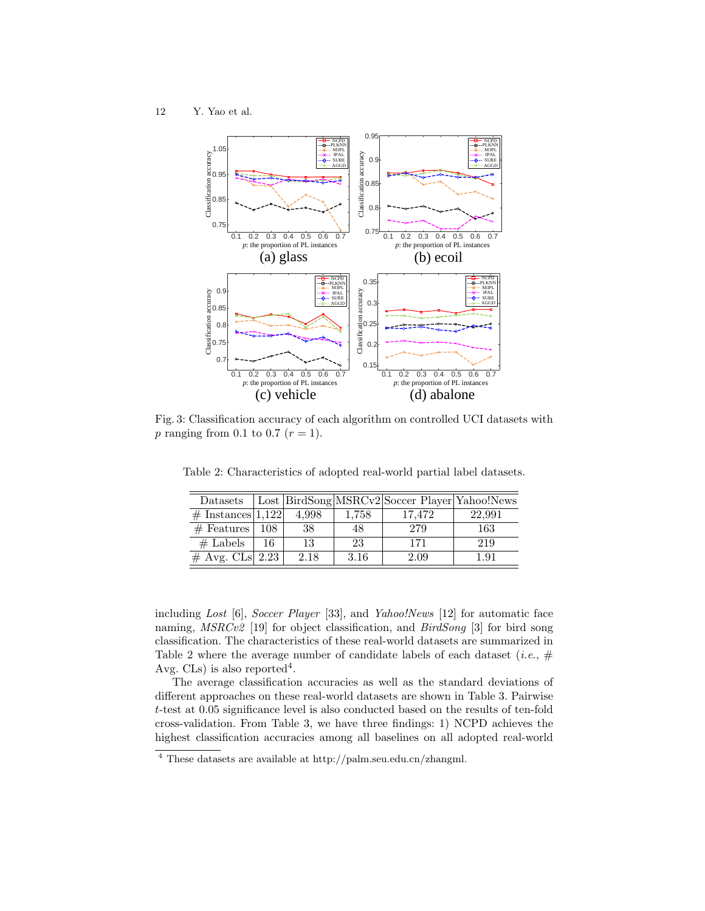12 Y. Yao et al.



Fig. 3: Classification accuracy of each algorithm on controlled UCI datasets with p ranging from 0.1 to 0.7  $(r = 1)$ .

|                        |         |       |       | cabic 2. Onaracteristics or adopted real-world partial laber datasct: |        |
|------------------------|---------|-------|-------|-----------------------------------------------------------------------|--------|
| Datasets               |         |       |       | Lost  BirdSong MSRCv2 Soccer Player Yahoo!News                        |        |
| $\#$ Instances   1,122 |         | 4,998 | 1,758 | 17,472                                                                | 22,991 |
| $#$ Features           | $108\,$ | 38    | 48    | 279                                                                   | 163    |
| $#$ Labels             | 16      | 13    | 23    | 171                                                                   | 219    |
| $\#$ Avg. CLs 2.23     |         | 2.18  | 3.16  | 2.09                                                                  | 1.91   |
|                        |         |       |       |                                                                       |        |

Table 2: Characteristics of adopted real-world partial label datasets.

Avg. CLs) is also reported<sup>4</sup>. classification. The characteristics of these real-world datasets are summarized in  $SRCv2$  [19] for object classi  $st$  [6], Soccer Player [33], a including *Lost* [6], *Soccer Player* [33], and *Yahoo!News* [12] for automatic face<br>naming, *MSRCv2* [19] for object classification, and *BirdSong* [3] for bird song<br>classification. The characteristics of these real-worl including Lost [6], Soccer Player [33], and Yahoo!News [12] for automatic face Table 2 where the average number of candidate labels of each dataset (*i.e.*,  $#$ 

different approaches on these real-world datasets are shown in Table 3. Pairwise The average classification accuracies as well as the standard deviations of  $t$ -test at  $0.05$  significance level is also conducted based on the results of ten-fold  $t$ -test at 0.05 significance level is also conducted based on the results of ten-fold<br>cross-validation. From Table 3, we have three findings: 1) NCPD achieves the highest classification accuracies among all baselines on all adopted real-world

 $^4$  These datasets are available at http://palm.seu.edu.cn/zhangml.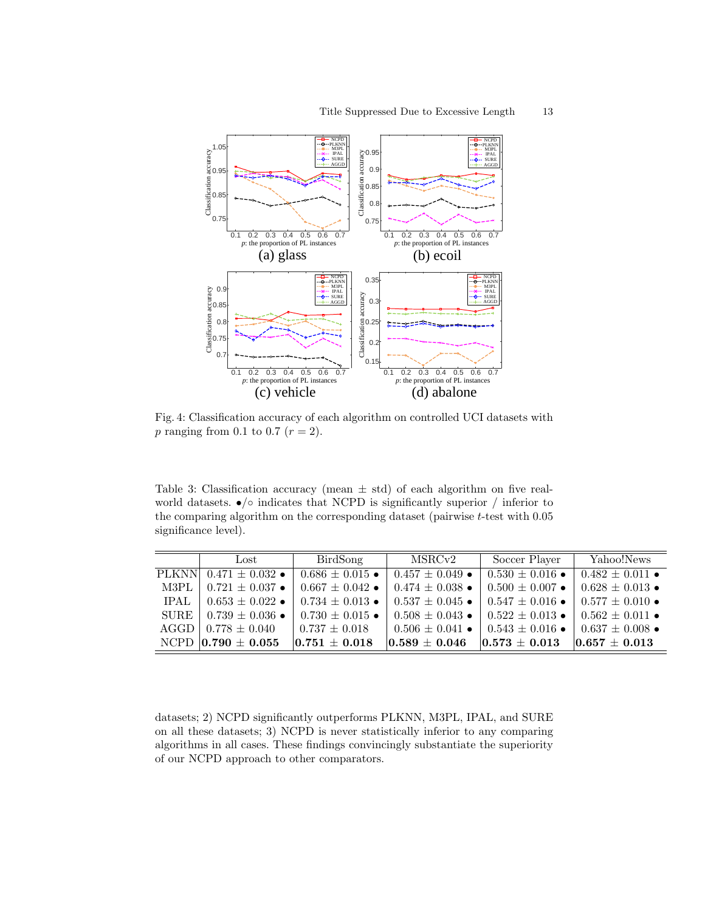

Fig. 4: Classification accuracy of each algorithm on controlled UCI datasets with p ranging from 0.1 to 0.7 ( $r = 2$ ).

Table 3: Classification accuracy (mean  $\pm$  std) of each algorithm on five realworld datasets.  $\bullet$ / $\circ$  indicates that NCPD is significantly superior / inferior to the comparing algorithm on the corresponding dataset (pairwise  $t$ -test with  $0.05$ ) significance level).

|              | Lost                         | BirdSong                    | MSRCv2                      | Soccer Player               | Yahoo!News                  |
|--------------|------------------------------|-----------------------------|-----------------------------|-----------------------------|-----------------------------|
| <b>PLKNN</b> | $0.471 \pm 0.032$ $\bullet$  | $0.686 \pm 0.015$ •         | $0.457 \pm 0.049$ $\bullet$ | $0.530 \pm 0.016$ $\bullet$ | $0.482 \pm 0.011$ $\bullet$ |
| M3PL         | $0.721 \pm 0.037$ $\bullet$  | $0.667 \pm 0.042$ $\bullet$ | $0.474 \pm 0.038$ $\bullet$ | $0.500 \pm 0.007$ $\bullet$ | $0.628 \pm 0.013$ $\bullet$ |
| <b>IPAL</b>  | $0.653 \pm 0.022$ $\bullet$  | $0.734 \pm 0.013$ •         | $0.537 \pm 0.045$ •         | $0.547 \pm 0.016$ $\bullet$ | $0.577 \pm 0.010$ $\bullet$ |
| SURE         | $0.739 \pm 0.036$ $\bullet$  | $0.730 \pm 0.015$ $\bullet$ | $0.508 \pm 0.043$ •         | $0.522 \pm 0.013$ $\bullet$ | $0.562 \pm 0.011$ $\bullet$ |
| AGGD.        | $0.778 \pm 0.040$            | $0.737 \pm 0.018$           | $0.506 \pm 0.041$ •         | $0.543 \pm 0.016$ •         | $0.637 \pm 0.008$ $\bullet$ |
|              | NCPD $\ket{0.790 \pm 0.055}$ | $0.751 + 0.018$             | $0.589 + 0.046$             | $0.573 + 0.013$             | $0.657 + 0.013$             |

of our NCPD approach to other comparators. algorithms in all cases. These findings convincingly substantiate the superiority on all these datasets; 3) NCPD is never statistically inferior to any comparing changer<br>September<br>Classification and according to  $\overline{a}$ rms<br>sta<br>nvi datasets; 2) NCPD significantly outperforms PLKNN, M3PL, IPAL, and SURE

0.8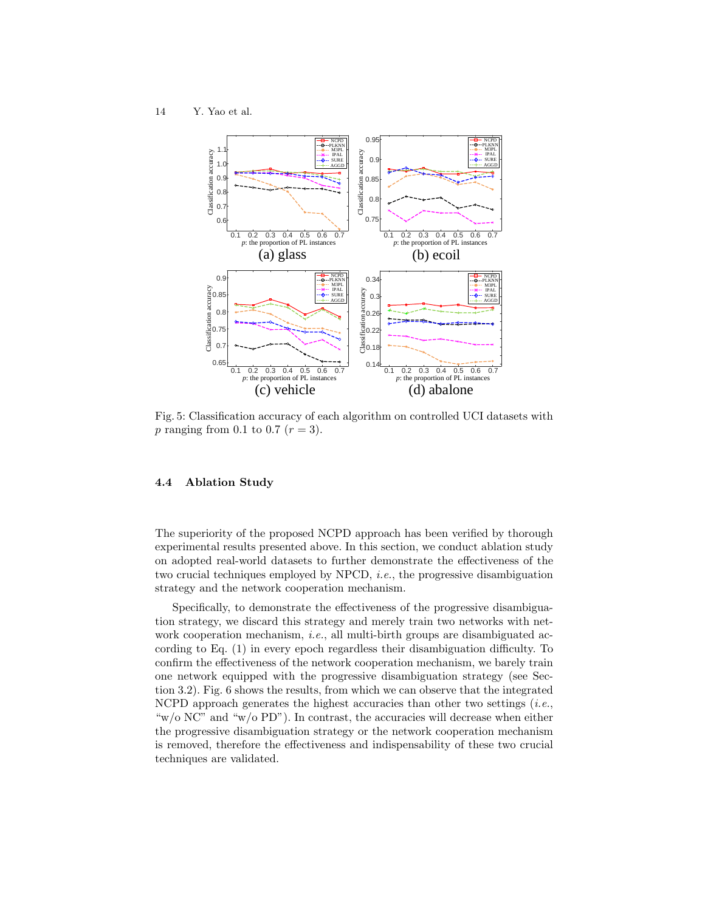14 Y. Yao et al.



Fig. 5: Classification accuracy of each algorithm on controlled UCI datasets with p ranging from 0.1 to 0.7 ( $r = 3$ ).

### 4.4 Ablation Study

The superiority of the proposed NCPD approach has been verified by thorough experimental results presented above. In this section, we conduct ablation study on adopted real-world datasets to further demonstrate the effectiveness of the two crucial techniques employed by NPCD, *i.e.*, the progressive disambiguation strategy and the network cooperation mechanism.

Specifically, to demonstrate the effectiveness of the progressive disambiguation strategy, we discard this strategy and merely train two networks with network cooperation mechanism, *i.e.*, all multi-birth groups are disambiguated according to Eq. (1) in every epoch regardless their disambiguation difficulty. To confirm the effectiveness of the network cooperation mechanism, we barely train one network equipped with the progressive disambiguation strategy (see Section 3.2). Fig. 6 shows the results, from which we can observe that the integrated NCPD approach generates the highest accuracies than other two settings  $(i.e.,$ "w/o NC" and "w/o PD"). In contrast, the accuracies will decrease when either the progressive disambiguation strategy or the network cooperation mechanism is removed, therefore the effectiveness and indispensability of these two crucial techniques are validated.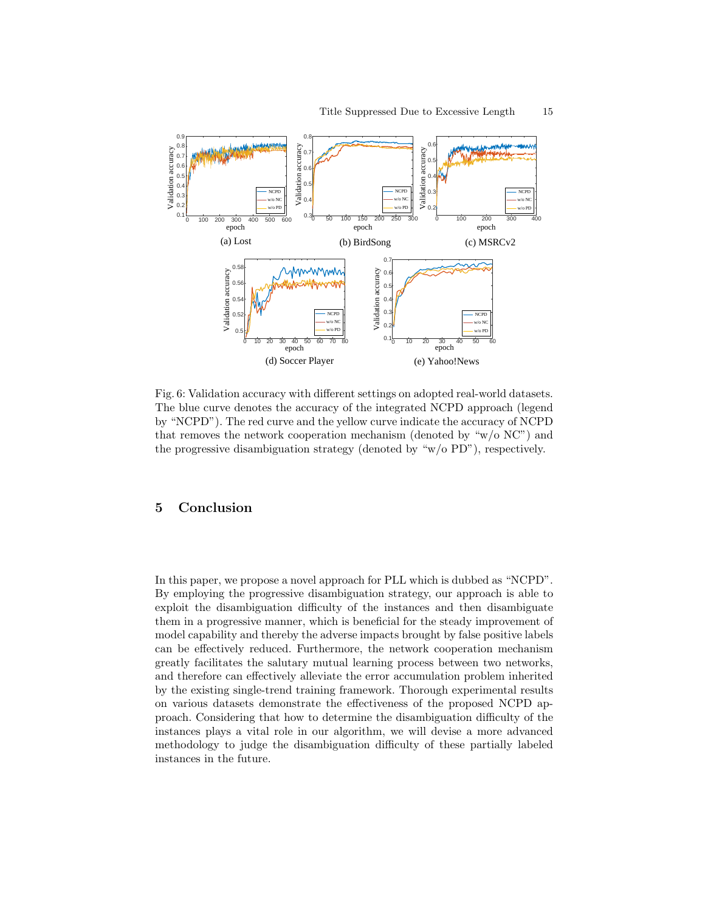

Fig. 6: Validation accuracy with different settings on adopted real-world datasets. The blue curve denotes the accuracy of the integrated NCPD approach (legend by "NCPD"). The red curve and the yellow curve indicate the accuracy of NCPD that removes the network cooperation mechanism (denoted by " $w$ /o NC") and the progressive disambiguation strategy (denoted by "w/o PD"), respectively.

# 5 Conclusion

In this paper, we propose a novel approach for PLL which is dubbed as "NCPD". By employing the progressive disambiguation strategy, our approach is able to exploit the disambiguation difficulty of the instances and then disambiguate them in a progressive manner, which is beneficial for the steady improvement of model capability and thereby the adverse impacts brought by false positive labels can be effectively reduced. Furthermore, the network cooperation mechanism greatly facilitates the salutary mutual learning process between two networks, and therefore can effectively alleviate the error accumulation problem inherited by the existing single-trend training framework. Thorough experimental results on various datasets demonstrate the effectiveness of the proposed NCPD approach. Considering that how to determine the disambiguation difficulty of the instances plays a vital role in our algorithm, we will devise a more advanced methodology to judge the disambiguation difficulty of these partially labeled instances in the future.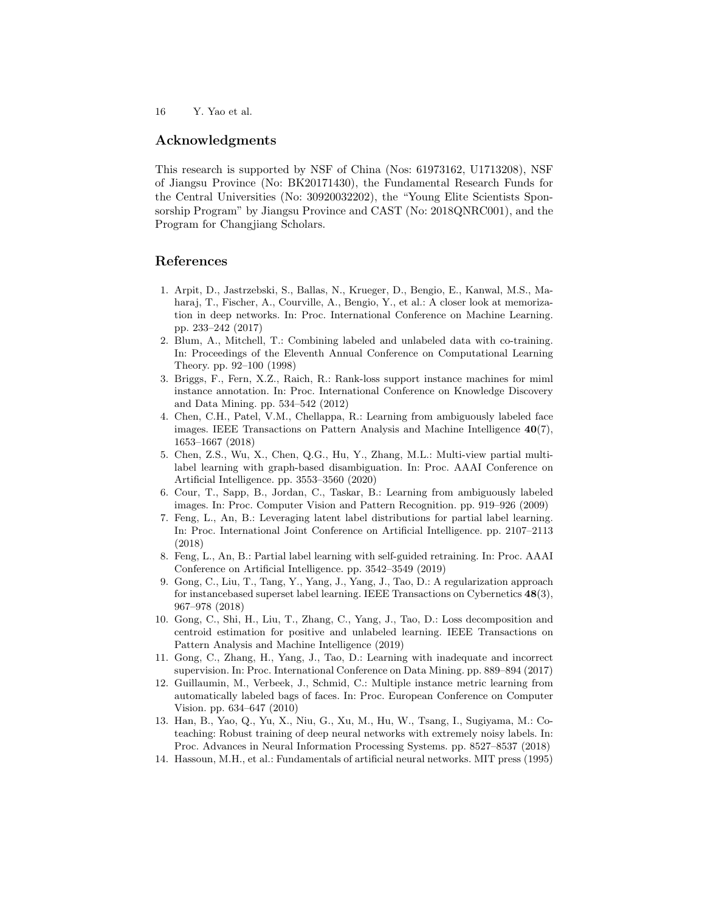### Acknowledgments

This research is supported by NSF of China (Nos: 61973162, U1713208), NSF of Jiangsu Province (No: BK20171430), the Fundamental Research Funds for the Central Universities (No: 30920032202), the "Young Elite Scientists Sponsorship Program" by Jiangsu Province and CAST (No: 2018QNRC001), and the Program for Changjiang Scholars.

### References

- 1. Arpit, D., Jastrzebski, S., Ballas, N., Krueger, D., Bengio, E., Kanwal, M.S., Maharaj, T., Fischer, A., Courville, A., Bengio, Y., et al.: A closer look at memorization in deep networks. In: Proc. International Conference on Machine Learning. pp. 233–242 (2017)
- 2. Blum, A., Mitchell, T.: Combining labeled and unlabeled data with co-training. In: Proceedings of the Eleventh Annual Conference on Computational Learning Theory. pp. 92–100 (1998)
- 3. Briggs, F., Fern, X.Z., Raich, R.: Rank-loss support instance machines for miml instance annotation. In: Proc. International Conference on Knowledge Discovery and Data Mining. pp. 534–542 (2012)
- 4. Chen, C.H., Patel, V.M., Chellappa, R.: Learning from ambiguously labeled face images. IEEE Transactions on Pattern Analysis and Machine Intelligence  $40(7)$ , 1653–1667 (2018)
- 5. Chen, Z.S., Wu, X., Chen, Q.G., Hu, Y., Zhang, M.L.: Multi-view partial multilabel learning with graph-based disambiguation. In: Proc. AAAI Conference on Artificial Intelligence. pp. 3553–3560 (2020)
- 6. Cour, T., Sapp, B., Jordan, C., Taskar, B.: Learning from ambiguously labeled images. In: Proc. Computer Vision and Pattern Recognition. pp. 919–926 (2009)
- 7. Feng, L., An, B.: Leveraging latent label distributions for partial label learning. In: Proc. International Joint Conference on Artificial Intelligence. pp. 2107–2113 (2018)
- 8. Feng, L., An, B.: Partial label learning with self-guided retraining. In: Proc. AAAI Conference on Artificial Intelligence. pp. 3542–3549 (2019)
- 9. Gong, C., Liu, T., Tang, Y., Yang, J., Yang, J., Tao, D.: A regularization approach for instancebased superset label learning. IEEE Transactions on Cybernetics 48(3), 967–978 (2018)
- 10. Gong, C., Shi, H., Liu, T., Zhang, C., Yang, J., Tao, D.: Loss decomposition and centroid estimation for positive and unlabeled learning. IEEE Transactions on Pattern Analysis and Machine Intelligence (2019)
- 11. Gong, C., Zhang, H., Yang, J., Tao, D.: Learning with inadequate and incorrect supervision. In: Proc. International Conference on Data Mining. pp. 889–894 (2017)
- 12. Guillaumin, M., Verbeek, J., Schmid, C.: Multiple instance metric learning from automatically labeled bags of faces. In: Proc. European Conference on Computer Vision. pp. 634–647 (2010)
- 13. Han, B., Yao, Q., Yu, X., Niu, G., Xu, M., Hu, W., Tsang, I., Sugiyama, M.: Coteaching: Robust training of deep neural networks with extremely noisy labels. In: Proc. Advances in Neural Information Processing Systems. pp. 8527–8537 (2018)
- 14. Hassoun, M.H., et al.: Fundamentals of artificial neural networks. MIT press (1995)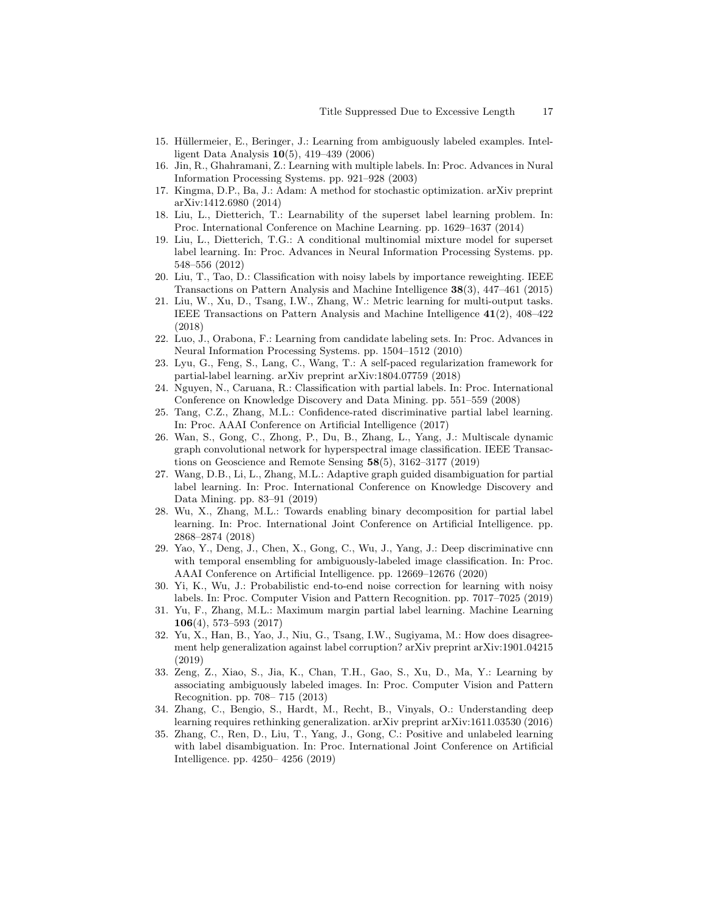- 15. Hüllermeier, E., Beringer, J.: Learning from ambiguously labeled examples. Intelligent Data Analysis 10(5), 419–439 (2006)
- 16. Jin, R., Ghahramani, Z.: Learning with multiple labels. In: Proc. Advances in Nural Information Processing Systems. pp. 921–928 (2003)
- 17. Kingma, D.P., Ba, J.: Adam: A method for stochastic optimization. arXiv preprint arXiv:1412.6980 (2014)
- 18. Liu, L., Dietterich, T.: Learnability of the superset label learning problem. In: Proc. International Conference on Machine Learning. pp. 1629–1637 (2014)
- 19. Liu, L., Dietterich, T.G.: A conditional multinomial mixture model for superset label learning. In: Proc. Advances in Neural Information Processing Systems. pp. 548–556 (2012)
- 20. Liu, T., Tao, D.: Classification with noisy labels by importance reweighting. IEEE Transactions on Pattern Analysis and Machine Intelligence 38(3), 447–461 (2015)
- 21. Liu, W., Xu, D., Tsang, I.W., Zhang, W.: Metric learning for multi-output tasks. IEEE Transactions on Pattern Analysis and Machine Intelligence 41(2), 408–422 (2018)
- 22. Luo, J., Orabona, F.: Learning from candidate labeling sets. In: Proc. Advances in Neural Information Processing Systems. pp. 1504–1512 (2010)
- 23. Lyu, G., Feng, S., Lang, C., Wang, T.: A self-paced regularization framework for partial-label learning. arXiv preprint arXiv:1804.07759 (2018)
- 24. Nguyen, N., Caruana, R.: Classification with partial labels. In: Proc. International Conference on Knowledge Discovery and Data Mining. pp. 551–559 (2008)
- 25. Tang, C.Z., Zhang, M.L.: Confidence-rated discriminative partial label learning. In: Proc. AAAI Conference on Artificial Intelligence (2017)
- 26. Wan, S., Gong, C., Zhong, P., Du, B., Zhang, L., Yang, J.: Multiscale dynamic graph convolutional network for hyperspectral image classification. IEEE Transactions on Geoscience and Remote Sensing 58(5), 3162–3177 (2019)
- 27. Wang, D.B., Li, L., Zhang, M.L.: Adaptive graph guided disambiguation for partial label learning. In: Proc. International Conference on Knowledge Discovery and Data Mining. pp. 83–91 (2019)
- 28. Wu, X., Zhang, M.L.: Towards enabling binary decomposition for partial label learning. In: Proc. International Joint Conference on Artificial Intelligence. pp. 2868–2874 (2018)
- 29. Yao, Y., Deng, J., Chen, X., Gong, C., Wu, J., Yang, J.: Deep discriminative cnn with temporal ensembling for ambiguously-labeled image classification. In: Proc. AAAI Conference on Artificial Intelligence. pp. 12669–12676 (2020)
- 30. Yi, K., Wu, J.: Probabilistic end-to-end noise correction for learning with noisy labels. In: Proc. Computer Vision and Pattern Recognition. pp. 7017–7025 (2019)
- 31. Yu, F., Zhang, M.L.: Maximum margin partial label learning. Machine Learning 106(4), 573–593 (2017)
- 32. Yu, X., Han, B., Yao, J., Niu, G., Tsang, I.W., Sugiyama, M.: How does disagreement help generalization against label corruption? arXiv preprint arXiv:1901.04215 (2019)
- 33. Zeng, Z., Xiao, S., Jia, K., Chan, T.H., Gao, S., Xu, D., Ma, Y.: Learning by associating ambiguously labeled images. In: Proc. Computer Vision and Pattern Recognition. pp. 708– 715 (2013)
- 34. Zhang, C., Bengio, S., Hardt, M., Recht, B., Vinyals, O.: Understanding deep learning requires rethinking generalization. arXiv preprint arXiv:1611.03530 (2016)
- 35. Zhang, C., Ren, D., Liu, T., Yang, J., Gong, C.: Positive and unlabeled learning with label disambiguation. In: Proc. International Joint Conference on Artificial Intelligence. pp. 4250– 4256 (2019)